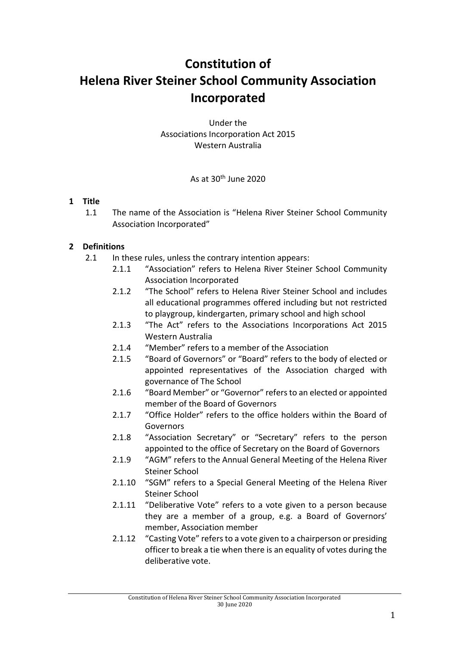# **Constitution of Helena River Steiner School Community Association Incorporated**

Under the Associations Incorporation Act 2015 Western Australia

#### As at  $30<sup>th</sup>$  June 2020

#### **1 Title**

1.1 The name of the Association is "Helena River Steiner School Community Association Incorporated"

# **2 Definitions**

- 2.1 In these rules, unless the contrary intention appears:
	- 2.1.1 "Association" refers to Helena River Steiner School Community Association Incorporated
	- 2.1.2 "The School" refers to Helena River Steiner School and includes all educational programmes offered including but not restricted to playgroup, kindergarten, primary school and high school
	- 2.1.3 "The Act" refers to the Associations Incorporations Act 2015 Western Australia
	- 2.1.4 "Member" refers to a member of the Association
	- 2.1.5 "Board of Governors" or "Board" refers to the body of elected or appointed representatives of the Association charged with governance of The School
	- 2.1.6 "Board Member" or "Governor" refers to an elected or appointed member of the Board of Governors
	- 2.1.7 "Office Holder" refers to the office holders within the Board of Governors
	- 2.1.8 "Association Secretary" or "Secretary" refers to the person appointed to the office of Secretary on the Board of Governors
	- 2.1.9 "AGM" refers to the Annual General Meeting of the Helena River Steiner School
	- 2.1.10 "SGM" refers to a Special General Meeting of the Helena River Steiner School
	- 2.1.11 "Deliberative Vote" refers to a vote given to a person because they are a member of a group, e.g. a Board of Governors' member, Association member
	- 2.1.12 "Casting Vote" refers to a vote given to a chairperson or presiding officer to break a tie when there is an equality of votes during the deliberative vote.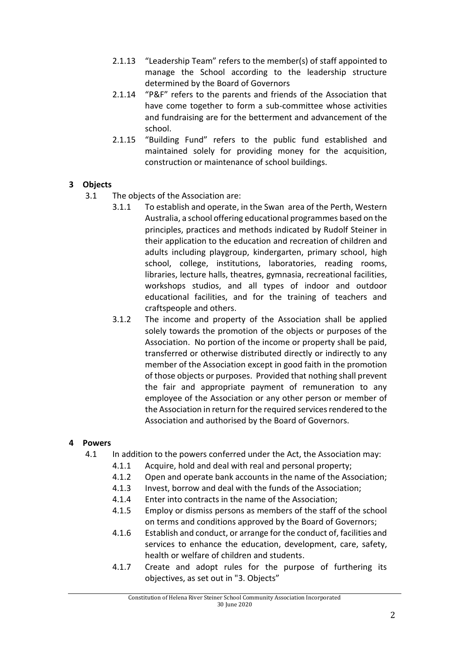- 2.1.13 "Leadership Team" refers to the member(s) of staff appointed to manage the School according to the leadership structure determined by the Board of Governors
- 2.1.14 "P&F" refers to the parents and friends of the Association that have come together to form a sub-committee whose activities and fundraising are for the betterment and advancement of the school.
- 2.1.15 "Building Fund" refers to the public fund established and maintained solely for providing money for the acquisition, construction or maintenance of school buildings.

#### **3 Objects**

- 3.1 The objects of the Association are:
	- 3.1.1 To establish and operate, in the Swan area of the Perth, Western Australia, a school offering educational programmes based on the principles, practices and methods indicated by Rudolf Steiner in their application to the education and recreation of children and adults including playgroup, kindergarten, primary school, high school, college, institutions, laboratories, reading rooms, libraries, lecture halls, theatres, gymnasia, recreational facilities, workshops studios, and all types of indoor and outdoor educational facilities, and for the training of teachers and craftspeople and others.
	- 3.1.2 The income and property of the Association shall be applied solely towards the promotion of the objects or purposes of the Association. No portion of the income or property shall be paid, transferred or otherwise distributed directly or indirectly to any member of the Association except in good faith in the promotion of those objects or purposes. Provided that nothing shall prevent the fair and appropriate payment of remuneration to any employee of the Association or any other person or member of the Association in return for the required services rendered to the Association and authorised by the Board of Governors.

#### **4 Powers**

- 4.1 In addition to the powers conferred under the Act, the Association may:
	- 4.1.1 Acquire, hold and deal with real and personal property;
	- 4.1.2 Open and operate bank accounts in the name of the Association;
	- 4.1.3 Invest, borrow and deal with the funds of the Association;
	- 4.1.4 Enter into contracts in the name of the Association;
	- 4.1.5 Employ or dismiss persons as members of the staff of the school on terms and conditions approved by the Board of Governors;
	- 4.1.6 Establish and conduct, or arrange for the conduct of, facilities and services to enhance the education, development, care, safety, health or welfare of children and students.
	- 4.1.7 Create and adopt rules for the purpose of furthering its objectives, as set out in "3. Objects"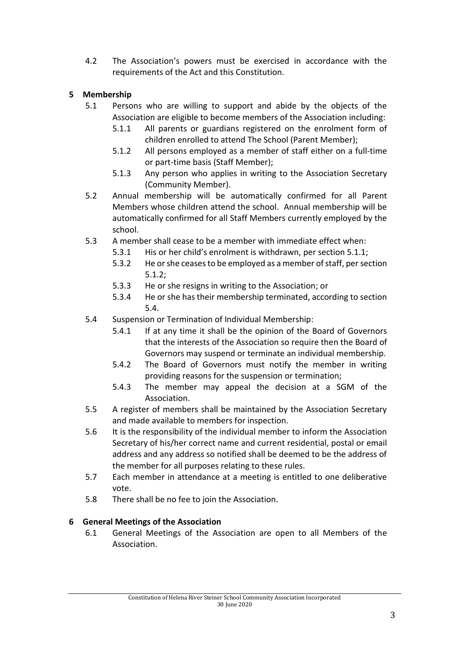4.2 The Association's powers must be exercised in accordance with the requirements of the Act and this Constitution.

# **5 Membership**

- 5.1 Persons who are willing to support and abide by the objects of the Association are eligible to become members of the Association including:
	- 5.1.1 All parents or guardians registered on the enrolment form of children enrolled to attend The School (Parent Member);
	- 5.1.2 All persons employed as a member of staff either on a full-time or part-time basis (Staff Member);
	- 5.1.3 Any person who applies in writing to the Association Secretary (Community Member).
- 5.2 Annual membership will be automatically confirmed for all Parent Members whose children attend the school. Annual membership will be automatically confirmed for all Staff Members currently employed by the school.
- 5.3 A member shall cease to be a member with immediate effect when:
	- 5.3.1 His or her child's enrolment is withdrawn, per section 5.1.1;
	- 5.3.2 He or she ceases to be employed as a member of staff, per section 5.1.2;
	- 5.3.3 He or she resigns in writing to the Association; or
	- 5.3.4 He or she has their membership terminated, according to section 5.4.
- 5.4 Suspension or Termination of Individual Membership:
	- 5.4.1 If at any time it shall be the opinion of the Board of Governors that the interests of the Association so require then the Board of Governors may suspend or terminate an individual membership.
	- 5.4.2 The Board of Governors must notify the member in writing providing reasons for the suspension or termination;
	- 5.4.3 The member may appeal the decision at a SGM of the Association.
- 5.5 A register of members shall be maintained by the Association Secretary and made available to members for inspection.
- 5.6 It is the responsibility of the individual member to inform the Association Secretary of his/her correct name and current residential, postal or email address and any address so notified shall be deemed to be the address of the member for all purposes relating to these rules.
- 5.7 Each member in attendance at a meeting is entitled to one deliberative vote.
- 5.8 There shall be no fee to join the Association.

# **6 General Meetings of the Association**

6.1 General Meetings of the Association are open to all Members of the Association.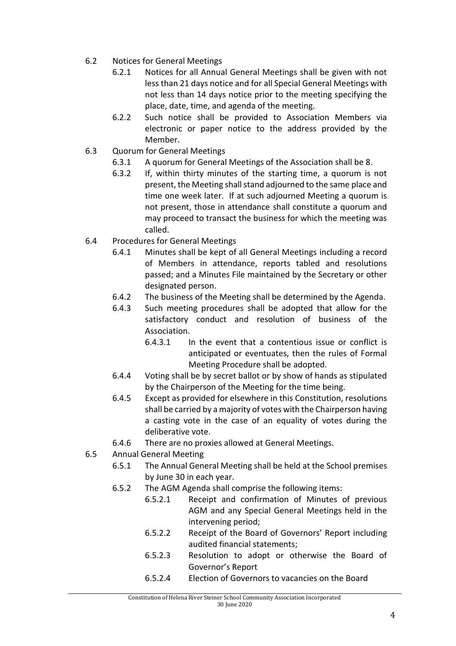- 6.2 Notices for General Meetings
	- 6.2.1 Notices for all Annual General Meetings shall be given with not less than 21 days notice and for all Special General Meetings with not less than 14 days notice prior to the meeting specifying the place, date, time, and agenda of the meeting.
	- 6.2.2 Such notice shall be provided to Association Members via electronic or paper notice to the address provided by the Member.
- 6.3 Quorum for General Meetings
	- 6.3.1 A quorum for General Meetings of the Association shall be 8.
	- 6.3.2 If, within thirty minutes of the starting time, a quorum is not present, the Meeting shall stand adjourned to the same place and time one week later. If at such adjourned Meeting a quorum is not present, those in attendance shall constitute a quorum and may proceed to transact the business for which the meeting was called.
- 6.4 Procedures for General Meetings
	- 6.4.1 Minutes shall be kept of all General Meetings including a record of Members in attendance, reports tabled and resolutions passed; and a Minutes File maintained by the Secretary or other designated person.
	- 6.4.2 The business of the Meeting shall be determined by the Agenda.
	- 6.4.3 Such meeting procedures shall be adopted that allow for the satisfactory conduct and resolution of business of the Association.
		- 6.4.3.1 In the event that a contentious issue or conflict is anticipated or eventuates, then the rules of Formal Meeting Procedure shall be adopted.
	- 6.4.4 Voting shall be by secret ballot or by show of hands as stipulated by the Chairperson of the Meeting for the time being.
	- 6.4.5 Except as provided for elsewhere in this Constitution, resolutions shall be carried by a majority of votes with the Chairperson having a casting vote in the case of an equality of votes during the deliberative vote.
	- 6.4.6 There are no proxies allowed at General Meetings.
- 6.5 Annual General Meeting
	- 6.5.1 The Annual General Meeting shall be held at the School premises by June 30 in each year.
	- 6.5.2 The AGM Agenda shall comprise the following items:
		- 6.5.2.1 Receipt and confirmation of Minutes of previous AGM and any Special General Meetings held in the intervening period;
		- 6.5.2.2 Receipt of the Board of Governors' Report including audited financial statements;
		- 6.5.2.3 Resolution to adopt or otherwise the Board of Governor's Report
		- 6.5.2.4 Election of Governors to vacancies on the Board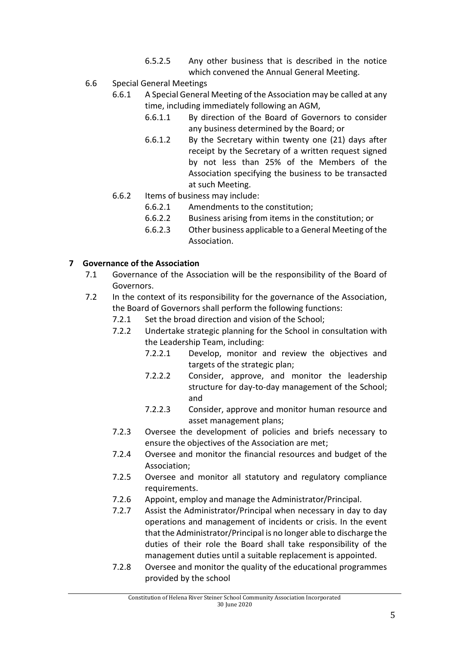- 6.5.2.5 Any other business that is described in the notice which convened the Annual General Meeting.
- 6.6 Special General Meetings
	- 6.6.1 A Special General Meeting of the Association may be called at any time, including immediately following an AGM,
		- 6.6.1.1 By direction of the Board of Governors to consider any business determined by the Board; or
		- 6.6.1.2 By the Secretary within twenty one (21) days after receipt by the Secretary of a written request signed by not less than 25% of the Members of the Association specifying the business to be transacted at such Meeting.
	- 6.6.2 Items of business may include:
		- 6.6.2.1 Amendments to the constitution;
		- 6.6.2.2 Business arising from items in the constitution; or
		- 6.6.2.3 Other business applicable to a General Meeting of the Association.

#### **7 Governance of the Association**

- 7.1 Governance of the Association will be the responsibility of the Board of Governors.
- 7.2 In the context of its responsibility for the governance of the Association, the Board of Governors shall perform the following functions:
	- 7.2.1 Set the broad direction and vision of the School;
	- 7.2.2 Undertake strategic planning for the School in consultation with the Leadership Team, including:
		- 7.2.2.1 Develop, monitor and review the objectives and targets of the strategic plan;
		- 7.2.2.2 Consider, approve, and monitor the leadership structure for day-to-day management of the School; and
		- 7.2.2.3 Consider, approve and monitor human resource and asset management plans;
	- 7.2.3 Oversee the development of policies and briefs necessary to ensure the objectives of the Association are met;
	- 7.2.4 Oversee and monitor the financial resources and budget of the Association;
	- 7.2.5 Oversee and monitor all statutory and regulatory compliance requirements.
	- 7.2.6 Appoint, employ and manage the Administrator/Principal.
	- 7.2.7 Assist the Administrator/Principal when necessary in day to day operations and management of incidents or crisis. In the event that the Administrator/Principal is no longer able to discharge the duties of their role the Board shall take responsibility of the management duties until a suitable replacement is appointed.
	- 7.2.8 Oversee and monitor the quality of the educational programmes provided by the school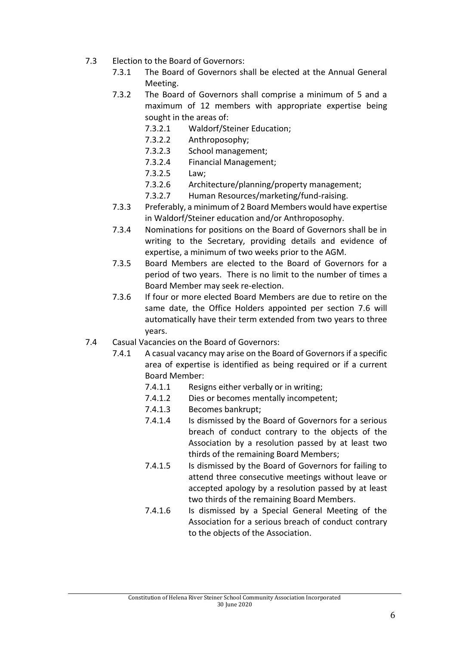- 7.3 Election to the Board of Governors:
	- 7.3.1 The Board of Governors shall be elected at the Annual General Meeting.
	- 7.3.2 The Board of Governors shall comprise a minimum of 5 and a maximum of 12 members with appropriate expertise being sought in the areas of:
		- 7.3.2.1 Waldorf/Steiner Education;
		- 7.3.2.2 Anthroposophy;
		- 7.3.2.3 School management;
		- 7.3.2.4 Financial Management;
		- 7.3.2.5 Law;
		- 7.3.2.6 Architecture/planning/property management;
		- 7.3.2.7 Human Resources/marketing/fund-raising.
	- 7.3.3 Preferably, a minimum of 2 Board Members would have expertise in Waldorf/Steiner education and/or Anthroposophy.
	- 7.3.4 Nominations for positions on the Board of Governors shall be in writing to the Secretary, providing details and evidence of expertise, a minimum of two weeks prior to the AGM.
	- 7.3.5 Board Members are elected to the Board of Governors for a period of two years. There is no limit to the number of times a Board Member may seek re-election.
	- 7.3.6 If four or more elected Board Members are due to retire on the same date, the Office Holders appointed per section 7.6 will automatically have their term extended from two years to three years.
- 7.4 Casual Vacancies on the Board of Governors:
	- 7.4.1 A casual vacancy may arise on the Board of Governors if a specific area of expertise is identified as being required or if a current Board Member:
		- 7.4.1.1 Resigns either verbally or in writing;
		- 7.4.1.2 Dies or becomes mentally incompetent;
		- 7.4.1.3 Becomes bankrupt;
		- 7.4.1.4 Is dismissed by the Board of Governors for a serious breach of conduct contrary to the objects of the Association by a resolution passed by at least two thirds of the remaining Board Members;
		- 7.4.1.5 Is dismissed by the Board of Governors for failing to attend three consecutive meetings without leave or accepted apology by a resolution passed by at least two thirds of the remaining Board Members.
		- 7.4.1.6 Is dismissed by a Special General Meeting of the Association for a serious breach of conduct contrary to the objects of the Association.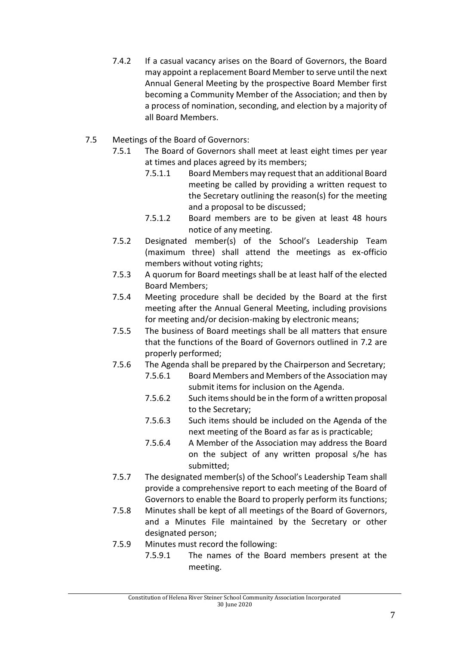- 7.4.2 If a casual vacancy arises on the Board of Governors, the Board may appoint a replacement Board Member to serve until the next Annual General Meeting by the prospective Board Member first becoming a Community Member of the Association; and then by a process of nomination, seconding, and election by a majority of all Board Members.
- 7.5 Meetings of the Board of Governors:
	- 7.5.1 The Board of Governors shall meet at least eight times per year at times and places agreed by its members;
		- 7.5.1.1 Board Members may request that an additional Board meeting be called by providing a written request to the Secretary outlining the reason(s) for the meeting and a proposal to be discussed;
		- 7.5.1.2 Board members are to be given at least 48 hours notice of any meeting.
	- 7.5.2 Designated member(s) of the School's Leadership Team (maximum three) shall attend the meetings as ex-officio members without voting rights;
	- 7.5.3 A quorum for Board meetings shall be at least half of the elected Board Members;
	- 7.5.4 Meeting procedure shall be decided by the Board at the first meeting after the Annual General Meeting, including provisions for meeting and/or decision-making by electronic means;
	- 7.5.5 The business of Board meetings shall be all matters that ensure that the functions of the Board of Governors outlined in 7.2 are properly performed;
	- 7.5.6 The Agenda shall be prepared by the Chairperson and Secretary;
		- 7.5.6.1 Board Members and Members of the Association may submit items for inclusion on the Agenda.
		- 7.5.6.2 Such items should be in the form of a written proposal to the Secretary;
		- 7.5.6.3 Such items should be included on the Agenda of the next meeting of the Board as far as is practicable;
		- 7.5.6.4 A Member of the Association may address the Board on the subject of any written proposal s/he has submitted;
	- 7.5.7 The designated member(s) of the School's Leadership Team shall provide a comprehensive report to each meeting of the Board of Governors to enable the Board to properly perform its functions;
	- 7.5.8 Minutes shall be kept of all meetings of the Board of Governors, and a Minutes File maintained by the Secretary or other designated person;
	- 7.5.9 Minutes must record the following:
		- 7.5.9.1 The names of the Board members present at the meeting.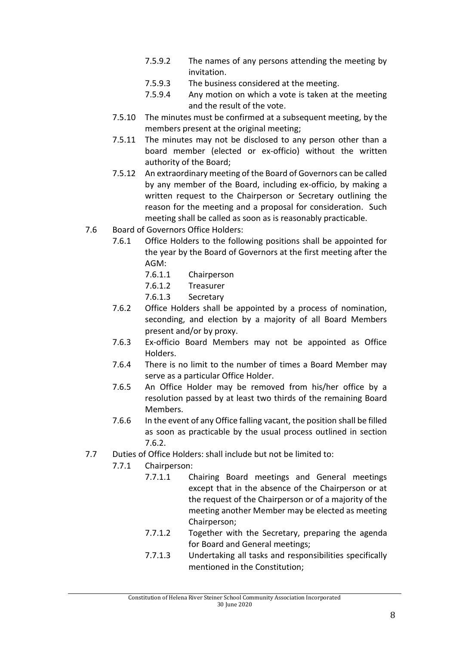- 7.5.9.2 The names of any persons attending the meeting by invitation.
- 7.5.9.3 The business considered at the meeting.
- 7.5.9.4 Any motion on which a vote is taken at the meeting and the result of the vote.
- 7.5.10 The minutes must be confirmed at a subsequent meeting, by the members present at the original meeting;
- 7.5.11 The minutes may not be disclosed to any person other than a board member (elected or ex-officio) without the written authority of the Board;
- 7.5.12 An extraordinary meeting of the Board of Governors can be called by any member of the Board, including ex-officio, by making a written request to the Chairperson or Secretary outlining the reason for the meeting and a proposal for consideration. Such meeting shall be called as soon as is reasonably practicable.
- 7.6 Board of Governors Office Holders:
	- 7.6.1 Office Holders to the following positions shall be appointed for the year by the Board of Governors at the first meeting after the AGM:
		- 7.6.1.1 Chairperson
		- 7.6.1.2 Treasurer
		- 7.6.1.3 Secretary
	- 7.6.2 Office Holders shall be appointed by a process of nomination, seconding, and election by a majority of all Board Members present and/or by proxy.
	- 7.6.3 Ex-officio Board Members may not be appointed as Office Holders.
	- 7.6.4 There is no limit to the number of times a Board Member may serve as a particular Office Holder.
	- 7.6.5 An Office Holder may be removed from his/her office by a resolution passed by at least two thirds of the remaining Board Members.
	- 7.6.6 In the event of any Office falling vacant, the position shall be filled as soon as practicable by the usual process outlined in section 7.6.2.
- 7.7 Duties of Office Holders: shall include but not be limited to:
	- 7.7.1 Chairperson:
		- 7.7.1.1 Chairing Board meetings and General meetings except that in the absence of the Chairperson or at the request of the Chairperson or of a majority of the meeting another Member may be elected as meeting Chairperson;
		- 7.7.1.2 Together with the Secretary, preparing the agenda for Board and General meetings;
		- 7.7.1.3 Undertaking all tasks and responsibilities specifically mentioned in the Constitution;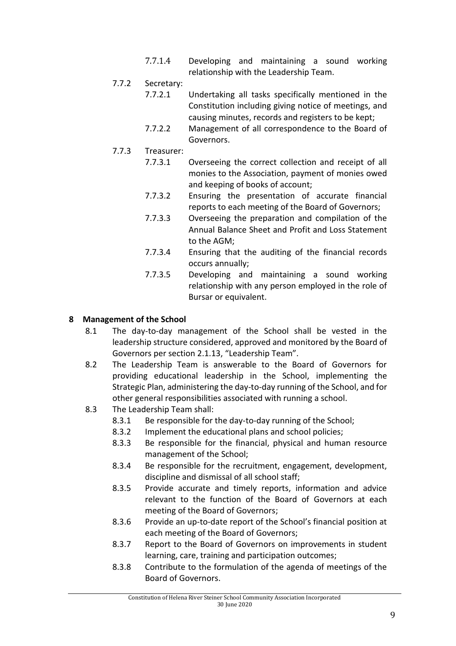7.7.1.4 Developing and maintaining a sound working relationship with the Leadership Team.

#### 7.7.2 Secretary:

- 7.7.2.1 Undertaking all tasks specifically mentioned in the Constitution including giving notice of meetings, and causing minutes, records and registers to be kept;
- 7.7.2.2 Management of all correspondence to the Board of Governors.
- 7.7.3 Treasurer:
	- 7.7.3.1 Overseeing the correct collection and receipt of all monies to the Association, payment of monies owed and keeping of books of account;
	- 7.7.3.2 Ensuring the presentation of accurate financial reports to each meeting of the Board of Governors;
	- 7.7.3.3 Overseeing the preparation and compilation of the Annual Balance Sheet and Profit and Loss Statement to the AGM;
	- 7.7.3.4 Ensuring that the auditing of the financial records occurs annually;
	- 7.7.3.5 Developing and maintaining a sound working relationship with any person employed in the role of Bursar or equivalent.

#### **8 Management of the School**

- 8.1 The day-to-day management of the School shall be vested in the leadership structure considered, approved and monitored by the Board of Governors per section 2.1.13, "Leadership Team".
- 8.2 The Leadership Team is answerable to the Board of Governors for providing educational leadership in the School, implementing the Strategic Plan, administering the day-to-day running of the School, and for other general responsibilities associated with running a school.
- 8.3 The Leadership Team shall:
	- 8.3.1 Be responsible for the day-to-day running of the School;
	- 8.3.2 Implement the educational plans and school policies;
	- 8.3.3 Be responsible for the financial, physical and human resource management of the School;
	- 8.3.4 Be responsible for the recruitment, engagement, development, discipline and dismissal of all school staff;
	- 8.3.5 Provide accurate and timely reports, information and advice relevant to the function of the Board of Governors at each meeting of the Board of Governors;
	- 8.3.6 Provide an up-to-date report of the School's financial position at each meeting of the Board of Governors;
	- 8.3.7 Report to the Board of Governors on improvements in student learning, care, training and participation outcomes;
	- 8.3.8 Contribute to the formulation of the agenda of meetings of the Board of Governors.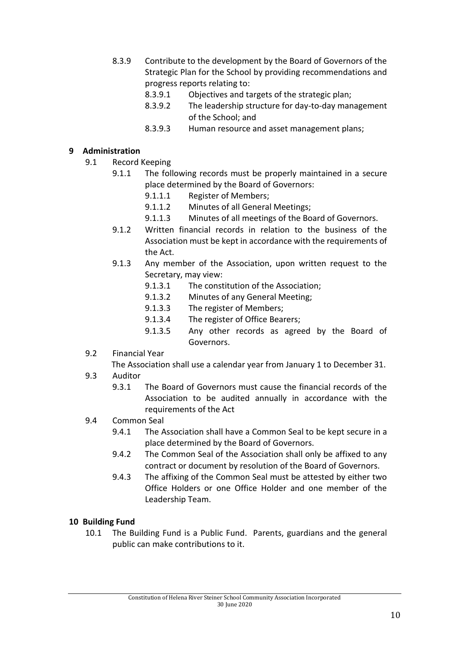- 8.3.9 Contribute to the development by the Board of Governors of the Strategic Plan for the School by providing recommendations and progress reports relating to:
	- 8.3.9.1 Objectives and targets of the strategic plan;
	- 8.3.9.2 The leadership structure for day-to-day management of the School; and
	- 8.3.9.3 Human resource and asset management plans;

#### **9 Administration**

- 9.1 Record Keeping
	- 9.1.1 The following records must be properly maintained in a secure place determined by the Board of Governors:
		- 9.1.1.1 Register of Members;
		- 9.1.1.2 Minutes of all General Meetings;
		- 9.1.1.3 Minutes of all meetings of the Board of Governors.
	- 9.1.2 Written financial records in relation to the business of the Association must be kept in accordance with the requirements of the Act.
	- 9.1.3 Any member of the Association, upon written request to the Secretary, may view:
		- 9.1.3.1 The constitution of the Association;
		- 9.1.3.2 Minutes of any General Meeting;
		- 9.1.3.3 The register of Members;
		- 9.1.3.4 The register of Office Bearers;
		- 9.1.3.5 Any other records as agreed by the Board of Governors.
- 9.2 Financial Year
	- The Association shall use a calendar year from January 1 to December 31.
- 9.3 Auditor
	- 9.3.1 The Board of Governors must cause the financial records of the Association to be audited annually in accordance with the requirements of the Act
- 9.4 Common Seal
	- 9.4.1 The Association shall have a Common Seal to be kept secure in a place determined by the Board of Governors.
	- 9.4.2 The Common Seal of the Association shall only be affixed to any contract or document by resolution of the Board of Governors.
	- 9.4.3 The affixing of the Common Seal must be attested by either two Office Holders or one Office Holder and one member of the Leadership Team.

#### **10 Building Fund**

10.1 The Building Fund is a Public Fund. Parents, guardians and the general public can make contributions to it.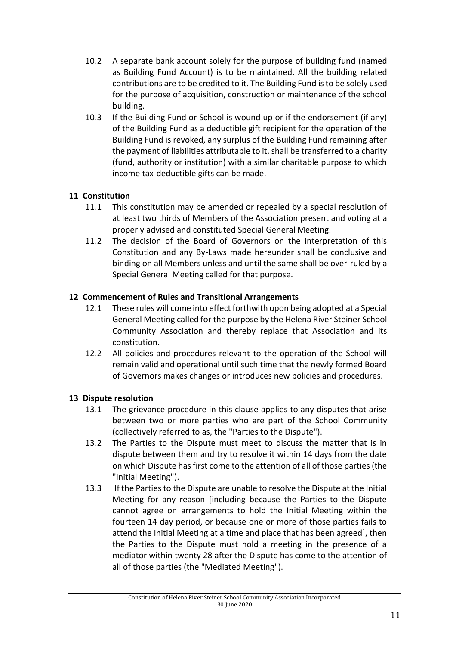- 10.2 A separate bank account solely for the purpose of building fund (named as Building Fund Account) is to be maintained. All the building related contributions are to be credited to it. The Building Fund is to be solely used for the purpose of acquisition, construction or maintenance of the school building.
- 10.3 If the Building Fund or School is wound up or if the endorsement (if any) of the Building Fund as a deductible gift recipient for the operation of the Building Fund is revoked, any surplus of the Building Fund remaining after the payment of liabilities attributable to it, shall be transferred to a charity (fund, authority or institution) with a similar charitable purpose to which income tax-deductible gifts can be made.

# **11 Constitution**

- 11.1 This constitution may be amended or repealed by a special resolution of at least two thirds of Members of the Association present and voting at a properly advised and constituted Special General Meeting.
- 11.2 The decision of the Board of Governors on the interpretation of this Constitution and any By-Laws made hereunder shall be conclusive and binding on all Members unless and until the same shall be over-ruled by a Special General Meeting called for that purpose.

# **12 Commencement of Rules and Transitional Arrangements**

- 12.1 These rules will come into effect forthwith upon being adopted at a Special General Meeting called for the purpose by the Helena River Steiner School Community Association and thereby replace that Association and its constitution.
- 12.2 All policies and procedures relevant to the operation of the School will remain valid and operational until such time that the newly formed Board of Governors makes changes or introduces new policies and procedures.

# **13 Dispute resolution**

- 13.1 The grievance procedure in this clause applies to any disputes that arise between two or more parties who are part of the School Community (collectively referred to as, the "Parties to the Dispute").
- 13.2 The Parties to the Dispute must meet to discuss the matter that is in dispute between them and try to resolve it within 14 days from the date on which Dispute has first come to the attention of all of those parties (the "Initial Meeting").
- 13.3 If the Parties to the Dispute are unable to resolve the Dispute at the Initial Meeting for any reason [including because the Parties to the Dispute cannot agree on arrangements to hold the Initial Meeting within the fourteen 14 day period, or because one or more of those parties fails to attend the Initial Meeting at a time and place that has been agreed], then the Parties to the Dispute must hold a meeting in the presence of a mediator within twenty 28 after the Dispute has come to the attention of all of those parties (the "Mediated Meeting").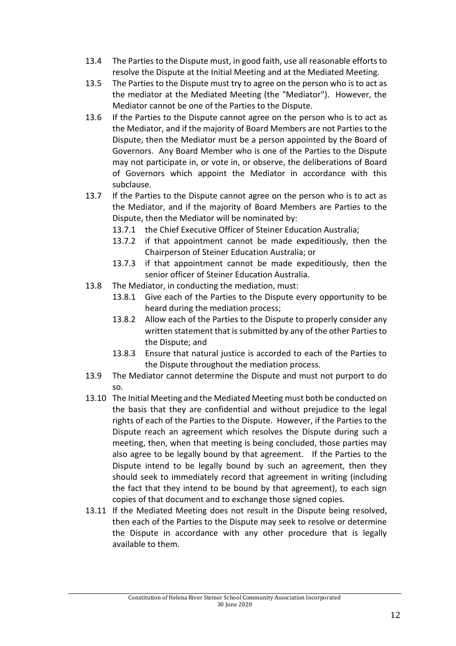- 13.4 The Parties to the Dispute must, in good faith, use all reasonable efforts to resolve the Dispute at the Initial Meeting and at the Mediated Meeting.
- 13.5 The Parties to the Dispute must try to agree on the person who is to act as the mediator at the Mediated Meeting (the "Mediator"). However, the Mediator cannot be one of the Parties to the Dispute.
- 13.6 If the Parties to the Dispute cannot agree on the person who is to act as the Mediator, and if the majority of Board Members are not Parties to the Dispute, then the Mediator must be a person appointed by the Board of Governors. Any Board Member who is one of the Parties to the Dispute may not participate in, or vote in, or observe, the deliberations of Board of Governors which appoint the Mediator in accordance with this subclause.
- 13.7 If the Parties to the Dispute cannot agree on the person who is to act as the Mediator, and if the majority of Board Members are Parties to the Dispute, then the Mediator will be nominated by:
	- 13.7.1 the Chief Executive Officer of Steiner Education Australia;
	- 13.7.2 if that appointment cannot be made expeditiously, then the Chairperson of Steiner Education Australia; or
	- 13.7.3 if that appointment cannot be made expeditiously, then the senior officer of Steiner Education Australia.
- 13.8 The Mediator, in conducting the mediation, must:
	- 13.8.1 Give each of the Parties to the Dispute every opportunity to be heard during the mediation process;
	- 13.8.2 Allow each of the Parties to the Dispute to properly consider any written statement that is submitted by any of the other Parties to the Dispute; and
	- 13.8.3 Ensure that natural justice is accorded to each of the Parties to the Dispute throughout the mediation process.
- 13.9 The Mediator cannot determine the Dispute and must not purport to do so.
- 13.10 The Initial Meeting and the Mediated Meeting must both be conducted on the basis that they are confidential and without prejudice to the legal rights of each of the Parties to the Dispute. However, if the Parties to the Dispute reach an agreement which resolves the Dispute during such a meeting, then, when that meeting is being concluded, those parties may also agree to be legally bound by that agreement. If the Parties to the Dispute intend to be legally bound by such an agreement, then they should seek to immediately record that agreement in writing (including the fact that they intend to be bound by that agreement), to each sign copies of that document and to exchange those signed copies.
- 13.11 If the Mediated Meeting does not result in the Dispute being resolved, then each of the Parties to the Dispute may seek to resolve or determine the Dispute in accordance with any other procedure that is legally available to them.